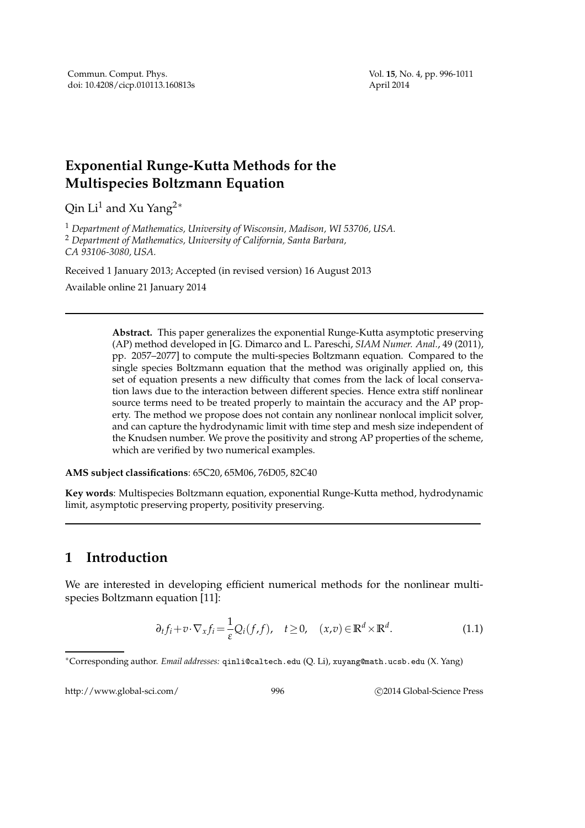# **Exponential Runge-Kutta Methods for the Multispecies Boltzmann Equation**

Qin Li<sup>1</sup> and Xu Yang<sup>2</sup><sup>∗</sup>

<sup>1</sup> *Department of Mathematics, University of Wisconsin, Madison, WI 53706, USA.* <sup>2</sup> *Department of Mathematics, University of California, Santa Barbara, CA 93106-3080, USA.*

Received 1 January 2013; Accepted (in revised version) 16 August 2013 Available online 21 January 2014

> **Abstract.** This paper generalizes the exponential Runge-Kutta asymptotic preserving (AP) method developed in [G. Dimarco and L. Pareschi, *SIAM Numer. Anal.*, 49 (2011), pp. 2057–2077] to compute the multi-species Boltzmann equation. Compared to the single species Boltzmann equation that the method was originally applied on, this set of equation presents a new difficulty that comes from the lack of local conservation laws due to the interaction between different species. Hence extra stiff nonlinear source terms need to be treated properly to maintain the accuracy and the AP property. The method we propose does not contain any nonlinear nonlocal implicit solver, and can capture the hydrodynamic limit with time step and mesh size independent of the Knudsen number. We prove the positivity and strong AP properties of the scheme, which are verified by two numerical examples.

**AMS subject classifications**: 65C20, 65M06, 76D05, 82C40

**Key words**: Multispecies Boltzmann equation, exponential Runge-Kutta method, hydrodynamic limit, asymptotic preserving property, positivity preserving.

## **1 Introduction**

We are interested in developing efficient numerical methods for the nonlinear multispecies Boltzmann equation [11]:

$$
\partial_t f_i + v \cdot \nabla_x f_i = \frac{1}{\varepsilon} Q_i(f, f), \quad t \ge 0, \quad (x, v) \in \mathbb{R}^d \times \mathbb{R}^d.
$$
 (1.1)

http://www.global-sci.com/ 996 <br>
996 C 2014 Global-Science Press

<sup>∗</sup>Corresponding author. *Email addresses:* qinli@caltech.edu (Q. Li), xuyang@math.ucsb.edu (X. Yang)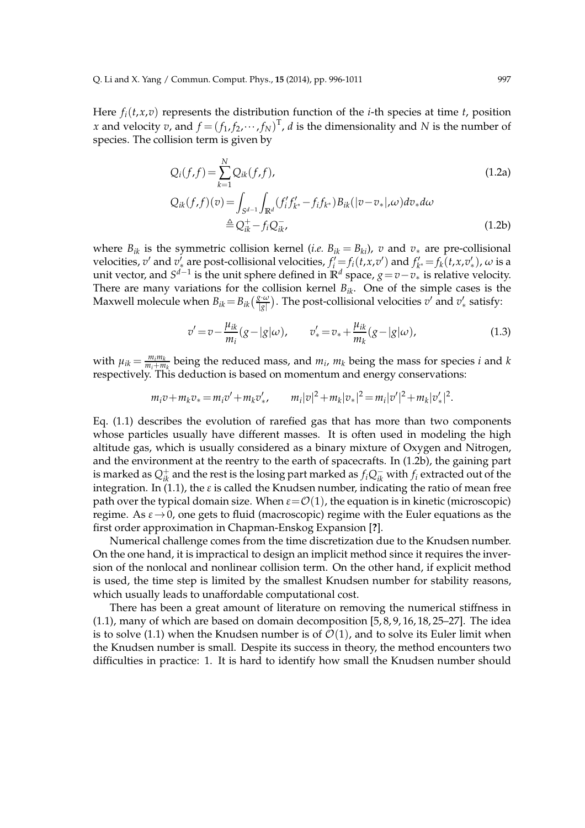Here  $f_i(t, x, v)$  represents the distribution function of the *i*-th species at time *t*, position *x* and velocity *v*, and  $f = (f_1, f_2, \dots, f_N)^T$ , *d* is the dimensionality and *N* is the number of species. The collision term is given by

$$
Q_i(f, f) = \sum_{k=1}^{N} Q_{ik}(f, f),
$$
\n
$$
Q_{ik}(f, f)(v) = \int_{S^{d-1}} \int_{\mathbb{R}^d} (f'_i f'_{k^*} - f_i f_{k^*}) B_{ik}(|v - v_*|, \omega) dv_* d\omega
$$
\n
$$
\triangleq Q_{ik}^+ - f_i Q_{ik}^-,
$$
\n(1.2b)

where  $B_{ik}$  is the symmetric collision kernel (*i.e.*  $B_{ik} = B_{ki}$ ), *v* and  $v_*$  are pre-collisional velocities,  $v'$  and  $v'_*$  are post-collisional velocities,  $f'_i = f_i(t, x, v')$  and  $f'_{k^*} = f_k(t, x, v'_*)$ ,  $\omega$  is a where the vector, and  $S^{d-1}$  is the unit sphere defined in **R**<sup>*d*</sup> space,  $g = v - v_*$  is relative velocity. There are many variations for the collision kernel  $B_{ik}$ . One of the simple cases is the Maxwell molecule when  $B_{ik} = B_{ik}(\frac{g \cdot \omega}{|g|})$ . The post-collisional velocities  $v'$  and  $v'_*$  satisfy:

$$
v' = v - \frac{\mu_{ik}}{m_i}(g - |g|\omega), \qquad v'_* = v_* + \frac{\mu_{ik}}{m_k}(g - |g|\omega), \tag{1.3}
$$

with  $\mu_{ik} = \frac{m_i m_k}{m_i + m_k}$  $\frac{m_i m_k}{m_i + m_k}$  being the reduced mass, and  $m_i$ ,  $m_k$  being the mass for species *i* and *k* respectively. This deduction is based on momentum and energy conservations:

$$
m_i v + m_k v_* = m_i v' + m_k v'_*, \qquad m_i |v|^2 + m_k |v_*|^2 = m_i |v'|^2 + m_k |v'_*|^2.
$$

Eq. (1.1) describes the evolution of rarefied gas that has more than two components whose particles usually have different masses. It is often used in modeling the high altitude gas, which is usually considered as a binary mixture of Oxygen and Nitrogen, and the environment at the reentry to the earth of spacecrafts. In (1.2b), the gaining part is marked as  $Q^+_{ik}$  and the rest is the losing part marked as  $f_iQ^-_{ik}$  with  $f_i$  extracted out of the integration. In (1.1), the *ε* is called the Knudsen number, indicating the ratio of mean free path over the typical domain size. When  $\varepsilon = \mathcal{O}(1)$ , the equation is in kinetic (microscopic) regime. As  $\varepsilon \rightarrow 0$ , one gets to fluid (macroscopic) regime with the Euler equations as the first order approximation in Chapman-Enskog Expansion [**?**].

Numerical challenge comes from the time discretization due to the Knudsen number. On the one hand, it is impractical to design an implicit method since it requires the inversion of the nonlocal and nonlinear collision term. On the other hand, if explicit method is used, the time step is limited by the smallest Knudsen number for stability reasons, which usually leads to unaffordable computational cost.

There has been a great amount of literature on removing the numerical stiffness in  $(1.1)$ , many of which are based on domain decomposition  $[5, 8, 9, 16, 18, 25-27]$ . The idea is to solve (1.1) when the Knudsen number is of  $\mathcal{O}(1)$ , and to solve its Euler limit when the Knudsen number is small. Despite its success in theory, the method encounters two difficulties in practice: 1. It is hard to identify how small the Knudsen number should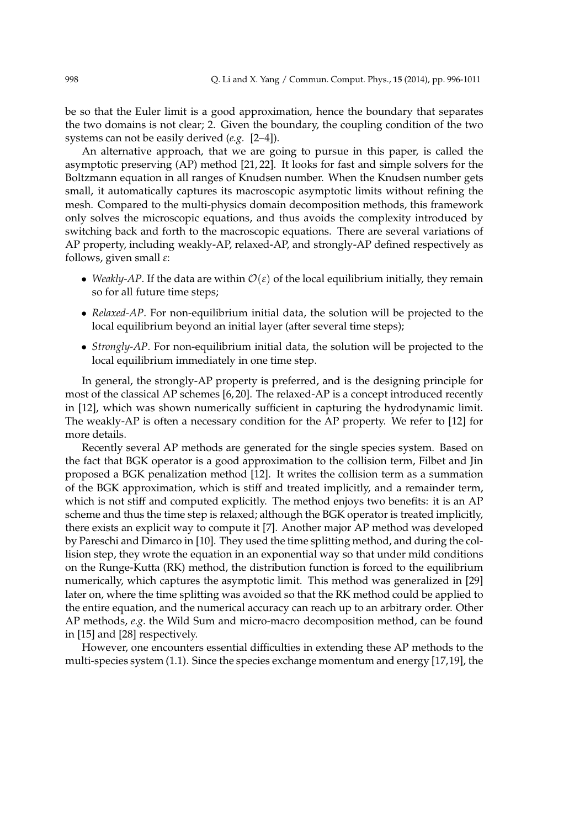be so that the Euler limit is a good approximation, hence the boundary that separates the two domains is not clear; 2. Given the boundary, the coupling condition of the two systems can not be easily derived (*e.g.* [2–4]).

An alternative approach, that we are going to pursue in this paper, is called the asymptotic preserving (AP) method [21, 22]. It looks for fast and simple solvers for the Boltzmann equation in all ranges of Knudsen number. When the Knudsen number gets small, it automatically captures its macroscopic asymptotic limits without refining the mesh. Compared to the multi-physics domain decomposition methods, this framework only solves the microscopic equations, and thus avoids the complexity introduced by switching back and forth to the macroscopic equations. There are several variations of AP property, including weakly-AP, relaxed-AP, and strongly-AP defined respectively as follows, given small *ε*:

- *Weakly-AP*. If the data are within  $\mathcal{O}(\varepsilon)$  of the local equilibrium initially, they remain so for all future time steps;
- *Relaxed-AP*. For non-equilibrium initial data, the solution will be projected to the local equilibrium beyond an initial layer (after several time steps);
- *Strongly-AP*. For non-equilibrium initial data, the solution will be projected to the local equilibrium immediately in one time step.

In general, the strongly-AP property is preferred, and is the designing principle for most of the classical AP schemes [6, 20]. The relaxed-AP is a concept introduced recently in [12], which was shown numerically sufficient in capturing the hydrodynamic limit. The weakly-AP is often a necessary condition for the AP property. We refer to [12] for more details.

Recently several AP methods are generated for the single species system. Based on the fact that BGK operator is a good approximation to the collision term, Filbet and Jin proposed a BGK penalization method [12]. It writes the collision term as a summation of the BGK approximation, which is stiff and treated implicitly, and a remainder term, which is not stiff and computed explicitly. The method enjoys two benefits: it is an AP scheme and thus the time step is relaxed; although the BGK operator is treated implicitly, there exists an explicit way to compute it [7]. Another major AP method was developed by Pareschi and Dimarco in [10]. They used the time splitting method, and during the collision step, they wrote the equation in an exponential way so that under mild conditions on the Runge-Kutta (RK) method, the distribution function is forced to the equilibrium numerically, which captures the asymptotic limit. This method was generalized in [29] later on, where the time splitting was avoided so that the RK method could be applied to the entire equation, and the numerical accuracy can reach up to an arbitrary order. Other AP methods, *e.g.* the Wild Sum and micro-macro decomposition method, can be found in [15] and [28] respectively.

However, one encounters essential difficulties in extending these AP methods to the multi-species system (1.1). Since the species exchange momentum and energy [17,19], the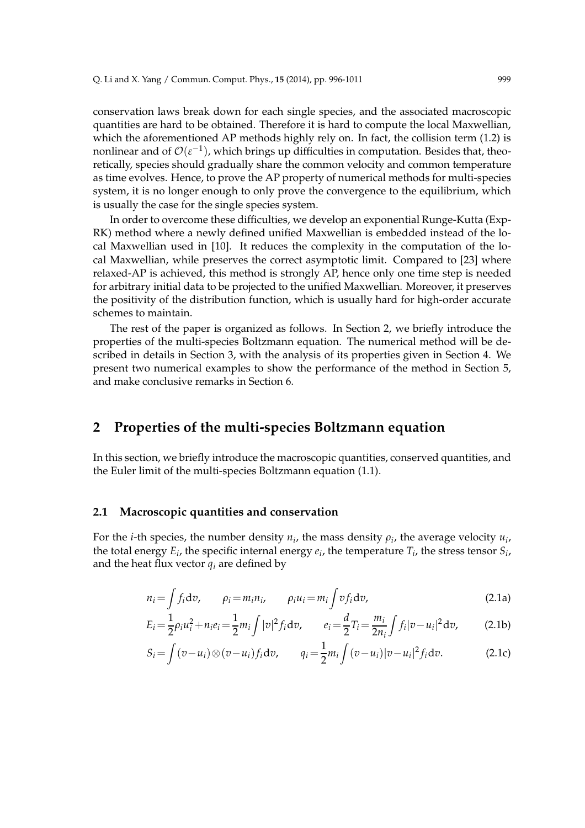conservation laws break down for each single species, and the associated macroscopic quantities are hard to be obtained. Therefore it is hard to compute the local Maxwellian, which the aforementioned AP methods highly rely on. In fact, the collision term (1.2) is nonlinear and of  $\mathcal{O}(\varepsilon^{-1})$ , which brings up difficulties in computation. Besides that, theoretically, species should gradually share the common velocity and common temperature as time evolves. Hence, to prove the AP property of numerical methods for multi-species system, it is no longer enough to only prove the convergence to the equilibrium, which is usually the case for the single species system.

In order to overcome these difficulties, we develop an exponential Runge-Kutta (Exp-RK) method where a newly defined unified Maxwellian is embedded instead of the local Maxwellian used in [10]. It reduces the complexity in the computation of the local Maxwellian, while preserves the correct asymptotic limit. Compared to [23] where relaxed-AP is achieved, this method is strongly AP, hence only one time step is needed for arbitrary initial data to be projected to the unified Maxwellian. Moreover, it preserves the positivity of the distribution function, which is usually hard for high-order accurate schemes to maintain.

The rest of the paper is organized as follows. In Section 2, we briefly introduce the properties of the multi-species Boltzmann equation. The numerical method will be described in details in Section 3, with the analysis of its properties given in Section 4. We present two numerical examples to show the performance of the method in Section 5, and make conclusive remarks in Section 6.

### **2 Properties of the multi-species Boltzmann equation**

In this section, we briefly introduce the macroscopic quantities, conserved quantities, and the Euler limit of the multi-species Boltzmann equation (1.1).

#### **2.1 Macroscopic quantities and conservation**

For the *i*-th species, the number density  $n_i$ , the mass density  $\rho_i$ , the average velocity  $u_i$ , the total energy  $E_i$ , the specific internal energy  $e_i$ , the temperature  $T_i$ , the stress tensor  $S_i$ , and the heat flux vector  $q_i$  are defined by

$$
n_i = \int f_i dv, \qquad \rho_i = m_i n_i, \qquad \rho_i u_i = m_i \int v f_i dv,
$$
\n(2.1a)

$$
E_i = \frac{1}{2}\rho_i u_i^2 + n_i e_i = \frac{1}{2}m_i \int |v|^2 f_i dv, \qquad e_i = \frac{d}{2}T_i = \frac{m_i}{2n_i} \int f_i |v - u_i|^2 dv,
$$
 (2.1b)

$$
S_i = \int (v - u_i) \otimes (v - u_i) f_i dv, \qquad q_i = \frac{1}{2} m_i \int (v - u_i) |v - u_i|^2 f_i dv.
$$
 (2.1c)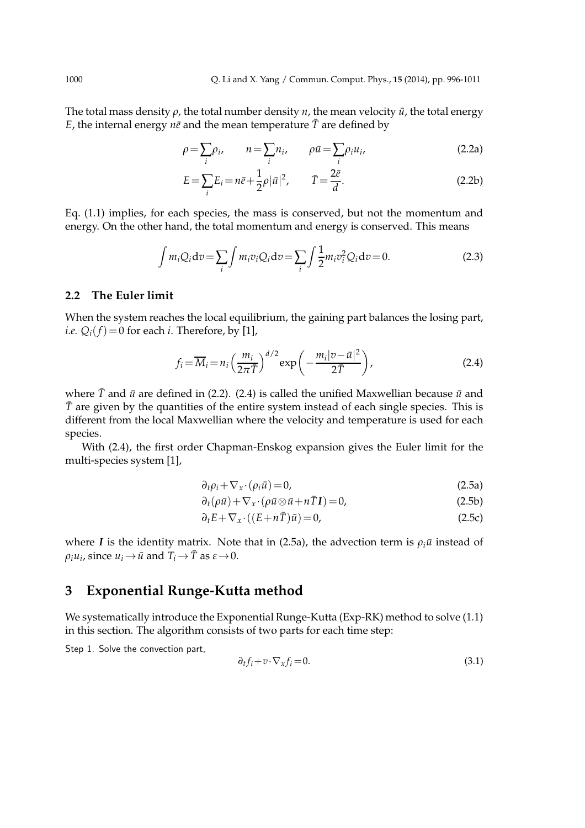The total mass density  $\rho$ , the total number density  $n$ , the mean velocity  $\bar{u}$ , the total energy *E*, the internal energy  $n\bar{e}$  and the mean temperature  $\bar{T}$  are defined by

$$
\rho = \sum_{i} \rho_i, \qquad n = \sum_{i} n_i, \qquad \rho \bar{u} = \sum_{i} \rho_i u_i,
$$
\n(2.2a)

$$
E = \sum_{i} E_i = n\bar{e} + \frac{1}{2}\rho |\bar{u}|^2, \qquad \bar{T} = \frac{2\bar{e}}{d}.
$$
 (2.2b)

Eq. (1.1) implies, for each species, the mass is conserved, but not the momentum and energy. On the other hand, the total momentum and energy is conserved. This means

$$
\int m_i Q_i dv = \sum_i \int m_i v_i Q_i dv = \sum_i \int \frac{1}{2} m_i v_i^2 Q_i dv = 0.
$$
\n(2.3)

### **2.2 The Euler limit**

When the system reaches the local equilibrium, the gaining part balances the losing part, *i.e.*  $Q_i(f) = 0$  for each *i*. Therefore, by [1],

$$
f_i = \overline{M}_i = n_i \left(\frac{m_i}{2\pi \overline{T}}\right)^{d/2} \exp\left(-\frac{m_i|v - \overline{u}|^2}{2\overline{T}}\right),\tag{2.4}
$$

where  $\bar{T}$  and  $\bar{u}$  are defined in (2.2). (2.4) is called the unified Maxwellian because  $\bar{u}$  and  $\bar{T}$  are given by the quantities of the entire system instead of each single species. This is different from the local Maxwellian where the velocity and temperature is used for each species.

With (2.4), the first order Chapman-Enskog expansion gives the Euler limit for the multi-species system [1],

$$
\partial_t \rho_i + \nabla_x \cdot (\rho_i \bar{u}) = 0,\tag{2.5a}
$$

$$
\partial_t(\rho \bar{u}) + \nabla_x \cdot (\rho \bar{u} \otimes \bar{u} + n \bar{T}I) = 0,\tag{2.5b}
$$

$$
\partial_t E + \nabla_x \cdot ((E + n\overline{T})\overline{u}) = 0,\tag{2.5c}
$$

where *I* is the identity matrix. Note that in (2.5a), the advection term is  $\rho_i \bar{u}$  instead of  $\rho_i u_i$ , since  $u_i \rightarrow \bar{u}$  and  $T_i \rightarrow \bar{T}$  as  $\varepsilon \rightarrow 0$ .

## **3 Exponential Runge-Kutta method**

We systematically introduce the Exponential Runge-Kutta (Exp-RK) method to solve (1.1) in this section. The algorithm consists of two parts for each time step:

Step 1. Solve the convection part,

$$
\partial_t f_i + v \cdot \nabla_x f_i = 0. \tag{3.1}
$$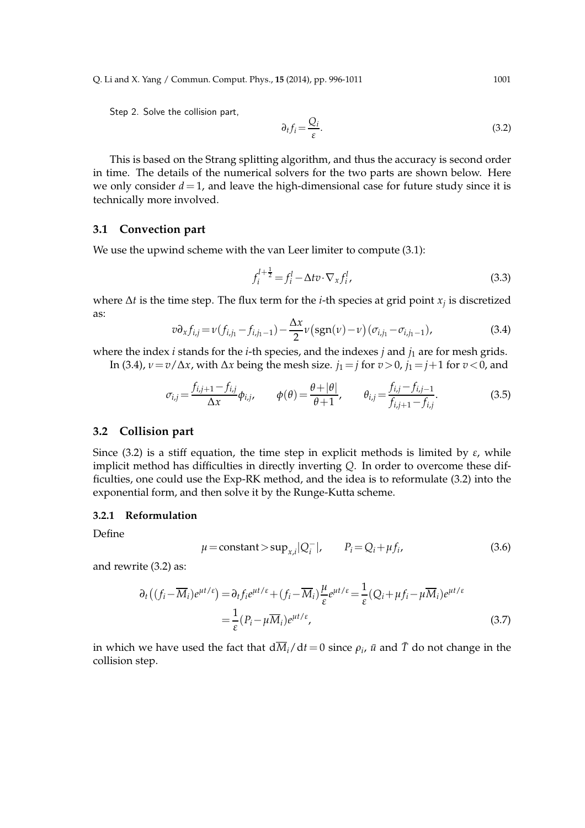Q. Li and X. Yang / Commun. Comput. Phys., **15** (2014), pp. 996-1011 1001

Step 2. Solve the collision part,

$$
\partial_t f_i = \frac{Q_i}{\varepsilon}.\tag{3.2}
$$

This is based on the Strang splitting algorithm, and thus the accuracy is second order in time. The details of the numerical solvers for the two parts are shown below. Here we only consider  $d = 1$ , and leave the high-dimensional case for future study since it is technically more involved.

#### **3.1 Convection part**

We use the upwind scheme with the van Leer limiter to compute (3.1):

$$
f_i^{l+\frac{1}{2}} = f_i^l - \Delta t v \cdot \nabla_x f_i^l,
$$
\n(3.3)

where ∆*t* is the time step. The flux term for the *i*-th species at grid point *x<sup>j</sup>* is discretized as:

$$
v \partial_x f_{i,j} = v(f_{i,j_1} - f_{i,j_1-1}) - \frac{\Delta x}{2} v(\text{sgn}(v) - v) (\sigma_{i,j_1} - \sigma_{i,j_1-1}),
$$
\n(3.4)

where the index  $i$  stands for the  $i$ -th species, and the indexes  $j$  and  $j_1$  are for mesh grids. In (3.4),  $v = v/\Delta x$ , with  $\Delta x$  being the mesh size. *j*<sub>1</sub> = *j* for *v* > 0, *j*<sub>1</sub> = *j*+1 for *v* < 0, and

$$
\sigma_{i,j} = \frac{f_{i,j+1} - f_{i,j}}{\Delta x} \phi_{i,j}, \qquad \phi(\theta) = \frac{\theta + |\theta|}{\theta + 1}, \qquad \theta_{i,j} = \frac{f_{i,j} - f_{i,j-1}}{f_{i,j+1} - f_{i,j}}.
$$
(3.5)

#### **3.2 Collision part**

Since (3.2) is a stiff equation, the time step in explicit methods is limited by *ε*, while implicit method has difficulties in directly inverting *Q*. In order to overcome these difficulties, one could use the Exp-RK method, and the idea is to reformulate (3.2) into the exponential form, and then solve it by the Runge-Kutta scheme.

#### **3.2.1 Reformulation**

Define

$$
\mu = \text{constant} > \sup_{x,i} |Q_i^-|, \qquad P_i = Q_i + \mu f_i,
$$
\n(3.6)

and rewrite (3.2) as:

$$
\partial_t \left( (f_i - \overline{M}_i) e^{\mu t/\varepsilon} \right) = \partial_t f_i e^{\mu t/\varepsilon} + (f_i - \overline{M}_i) \frac{\mu}{\varepsilon} e^{\mu t/\varepsilon} = \frac{1}{\varepsilon} (Q_i + \mu f_i - \mu \overline{M}_i) e^{\mu t/\varepsilon}
$$
  
= 
$$
\frac{1}{\varepsilon} (P_i - \mu \overline{M}_i) e^{\mu t/\varepsilon},
$$
(3.7)

in which we have used the fact that  $d\overline{M}_i/dt=0$  since  $\rho_i$ ,  $\bar{u}$  and  $\bar{T}$  do not change in the collision step.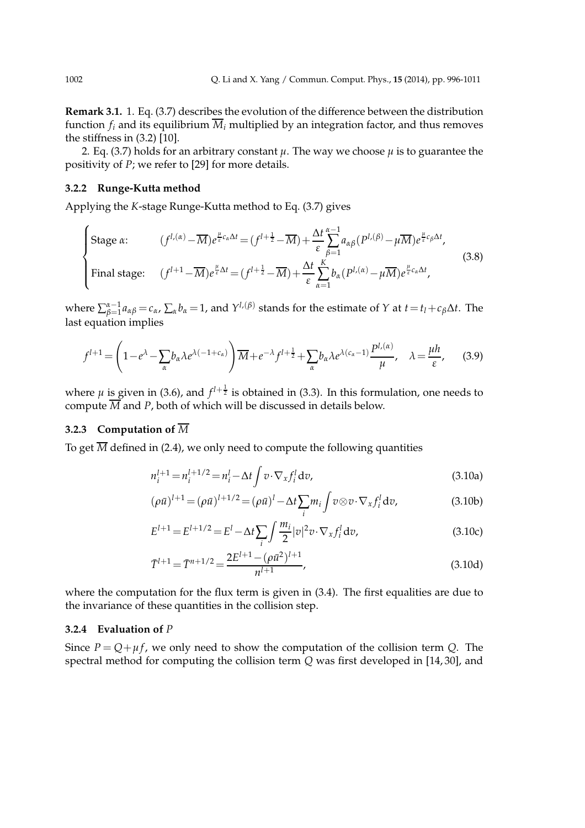**Remark 3.1.** 1. Eq. (3.7) describes the evolution of the difference between the distribution function  $f_i$  and its equilibrium  $\overline{M}_i$  multiplied by an integration factor, and thus removes the stiffness in (3.2) [10].

2. Eq. (3.7) holds for an arbitrary constant  $\mu$ . The way we choose  $\mu$  is to guarantee the positivity of *P*; we refer to [29] for more details.

#### **3.2.2 Runge-Kutta method**

Applying the *K*-stage Runge-Kutta method to Eq. (3.7) gives

$$
\begin{cases}\n\text{Stage } \alpha: & (f^{l,(\alpha)} - \overline{M})e^{\frac{\mu}{\varepsilon}c_{\alpha}\Delta t} = (f^{l + \frac{1}{2}} - \overline{M}) + \frac{\Delta t}{\varepsilon} \sum_{\beta=1}^{\alpha-1} a_{\alpha\beta} (P^{l,(\beta)} - \mu \overline{M})e^{\frac{\mu}{\varepsilon}c_{\beta}\Delta t}, \\
\text{Final stage:} & (f^{l + 1} - \overline{M})e^{\frac{\mu}{\varepsilon}\Delta t} = (f^{l + \frac{1}{2}} - \overline{M}) + \frac{\Delta t}{\varepsilon} \sum_{\alpha=1}^{K} b_{\alpha} (P^{l,(\alpha)} - \mu \overline{M})e^{\frac{\mu}{\varepsilon}c_{\alpha}\Delta t},\n\end{cases}\n\tag{3.8}
$$

where  $\sum_{\beta=1}^{\alpha-1}a_{\alpha\beta}=c_\alpha$ ,  $\sum_\alpha b_\alpha=1$ , and  $Y^{l,(\beta)}$  stands for the estimate of Y at  $t=t_l+c_\beta\Delta t$ . The last equation implies

$$
f^{l+1} = \left(1 - e^{\lambda} - \sum_{\alpha} b_{\alpha} \lambda e^{\lambda(-1 + c_{\alpha})}\right) \overline{M} + e^{-\lambda} f^{l+\frac{1}{2}} + \sum_{\alpha} b_{\alpha} \lambda e^{\lambda(c_{\alpha} - 1)} \frac{P^{l,(\alpha)}}{\mu}, \quad \lambda = \frac{\mu h}{\varepsilon},\tag{3.9}
$$

where  $\mu$  is given in (3.6), and  $f^{l+\frac{1}{2}}$  is obtained in (3.3). In this formulation, one needs to compute  $\overline{M}$  and *P*, both of which will be discussed in details below.

### **3.2.3 Computation of** *M*

To get  $\overline{M}$  defined in (2.4), we only need to compute the following quantities

$$
n_i^{l+1} = n_i^{l+1/2} = n_i^l - \Delta t \int v \cdot \nabla_x f_i^l dv,
$$
\n(3.10a)

$$
(\rho \bar{u})^{l+1} = (\rho \bar{u})^{l+1/2} = (\rho \bar{u})^l - \Delta t \sum_i m_i \int v \otimes v \cdot \nabla_x f_i^l dv,
$$
\n(3.10b)

$$
E^{l+1} = E^{l+1/2} = E^l - \Delta t \sum_{i} \int \frac{m_i}{2} |v|^2 v \cdot \nabla_x f_i^l dv,
$$
 (3.10c)

$$
\bar{T}^{l+1} = \bar{T}^{n+1/2} = \frac{2E^{l+1} - (\rho \bar{u}^2)^{l+1}}{n^{l+1}},
$$
\n(3.10d)

where the computation for the flux term is given in (3.4). The first equalities are due to the invariance of these quantities in the collision step.

#### **3.2.4 Evaluation of** *P*

Since  $P = Q + \mu f$ , we only need to show the computation of the collision term *Q*. The spectral method for computing the collision term *Q* was first developed in [14, 30], and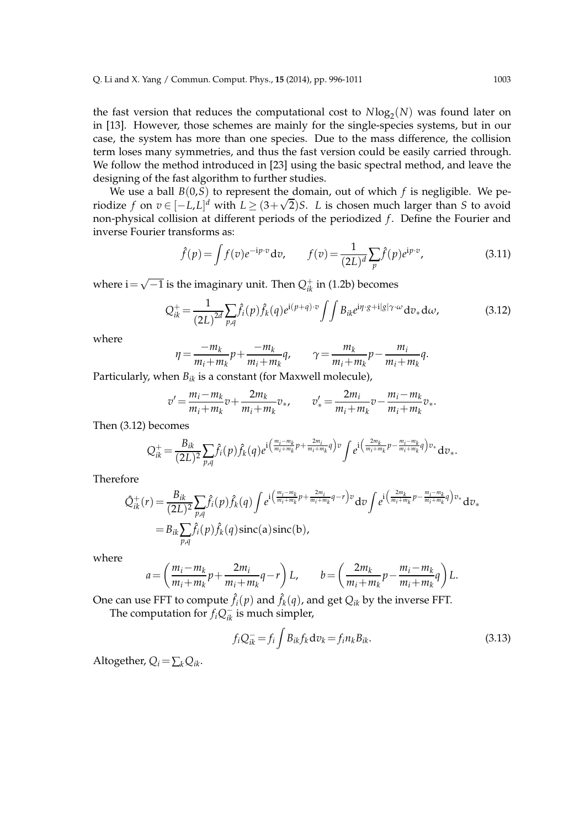the fast version that reduces the computational cost to  $N\text{log}_2(N)$  was found later on in [13]. However, those schemes are mainly for the single-species systems, but in our case, the system has more than one species. Due to the mass difference, the collision term loses many symmetries, and thus the fast version could be easily carried through. We follow the method introduced in [23] using the basic spectral method, and leave the designing of the fast algorithm to further studies.

We use a ball  $B(0, S)$  to represent the domain, out of which  $f$  is negligible. We periodize *f* on  $v \in [-L, L]^d$  with  $L \ge (3 + \sqrt{2})S$ . *L* is chosen much larger than *S* to avoid non-physical collision at different periods of the periodized *f*. Define the Fourier and inverse Fourier transforms as:

$$
\hat{f}(p) = \int f(v)e^{-ip\cdot v} dv, \qquad f(v) = \frac{1}{(2L)^d} \sum_{p} \hat{f}(p)e^{ip\cdot v}, \tag{3.11}
$$

where  $\mathrm{i}{=}\sqrt{-1}$  is the imaginary unit. Then  $Q^{+}_{ik}$  in (1.2b) becomes

$$
Q_{ik}^{+} = \frac{1}{(2L)^{2d}} \sum_{p,q} \hat{f}_i(p) \hat{f}_k(q) e^{i(p+q)\cdot v} \iint B_{ik} e^{i\eta \cdot g + i|g|\gamma \cdot \omega} dv_* d\omega,
$$
 (3.12)

where

$$
\eta = \frac{-m_k}{m_i + m_k} p + \frac{-m_k}{m_i + m_k} q, \qquad \gamma = \frac{m_k}{m_i + m_k} p - \frac{m_i}{m_i + m_k} q.
$$

Particularly, when *Bik* is a constant (for Maxwell molecule),

$$
v' = \frac{m_i - m_k}{m_i + m_k} v + \frac{2m_k}{m_i + m_k} v_*, \qquad v'_* = \frac{2m_i}{m_i + m_k} v - \frac{m_i - m_k}{m_i + m_k} v_*.
$$

Then (3.12) becomes

$$
Q_{ik}^{+} = \frac{B_{ik}}{(2L)^2} \sum_{p,q} \hat{f}_i(p) \hat{f}_k(q) e^{i \left( \frac{m_i - m_k}{m_i + m_k} p + \frac{2m_i}{m_i + m_k} q \right) v} \int e^{i \left( \frac{2m_k}{m_i + m_k} p - \frac{m_i - m_k}{m_i + m_k} q \right) v} dv_*.
$$

Therefore

$$
\hat{Q}_{ik}^{+}(r) = \frac{B_{ik}}{(2L)^2} \sum_{p,q} \hat{f}_i(p) \hat{f}_k(q) \int e^{i\left(\frac{m_i - m_k}{m_i + m_k} p + \frac{2m_i}{m_i + m_k} q - r\right)v} dv \int e^{i\left(\frac{2m_k}{m_i + m_k} p - \frac{m_i - m_k}{m_i + m_k} q\right)v_*} dv
$$
\n
$$
= B_{ik} \sum_{p,q} \hat{f}_i(p) \hat{f}_k(q) \operatorname{sinc}(a) \operatorname{sinc}(b),
$$

where

$$
a = \left(\frac{m_i - m_k}{m_i + m_k}p + \frac{2m_i}{m_i + m_k}q - r\right)L, \qquad b = \left(\frac{2m_k}{m_i + m_k}p - \frac{m_i - m_k}{m_i + m_k}q\right)L.
$$

One can use FFT to compute  $\hat{f}_i(p)$  and  $\hat{f}_k(q)$ , and get  $Q_{ik}$  by the inverse FFT.

The computation for  $f_iQ_{ik}^-$  is much simpler,

$$
f_i Q^-_{ik} = f_i \int B_{ik} f_k dv_k = f_i n_k B_{ik}.
$$
\n(3.13)

Altogether,  $Q_i = \sum_k Q_{ik}$ .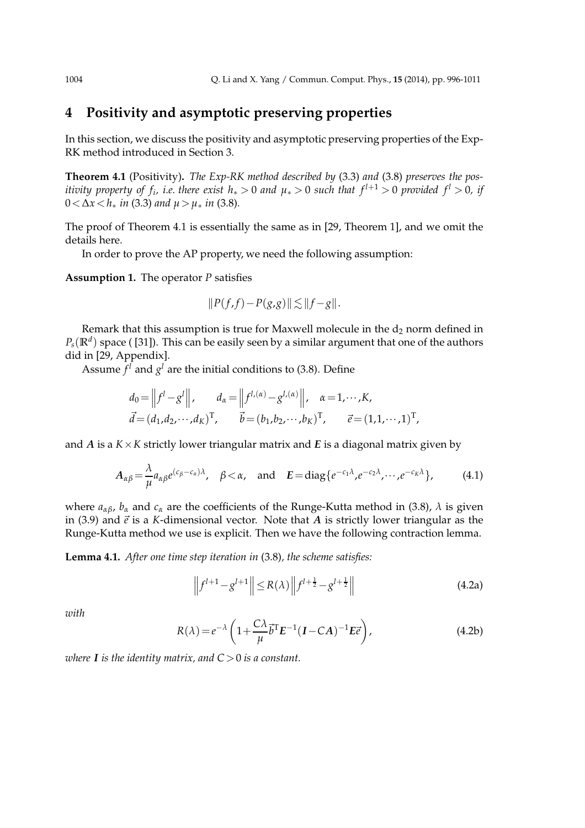## **4 Positivity and asymptotic preserving properties**

In this section, we discuss the positivity and asymptotic preserving properties of the Exp-RK method introduced in Section 3.

**Theorem 4.1** (Positivity)**.** *The Exp-RK method described by* (3.3) *and* (3.8) *preserves the positivity property of*  $f_i$ *, i.e. there exist*  $h_* > 0$  *and*  $\mu_* > 0$  *such that*  $f^{l+1} > 0$  *provided*  $f^l > 0$ *, if*  $0 < \Delta x < h_*$  *in* (3.3) *and*  $\mu > \mu_*$  *in* (3.8)*.* 

The proof of Theorem 4.1 is essentially the same as in [29, Theorem 1], and we omit the details here.

In order to prove the AP property, we need the following assumption:

**Assumption 1.** The operator *P* satisfies

$$
||P(f,f)-P(g,g)|| \lesssim ||f-g||.
$$

Remark that this assumption is true for Maxwell molecule in the  $d_2$  norm defined in  $P_s(\mathbb{R}^d)$  space ( [31]). This can be easily seen by a similar argument that one of the authors did in [29, Appendix].

Assume  $f^l$  and  $g^l$  are the initial conditions to (3.8). Define

$$
d_0 = ||f^l - g^l||, \t d_{\alpha} = ||f^{l,(\alpha)} - g^{l,(\alpha)}||, \t \alpha = 1, \cdots, K,
$$
  

$$
\vec{d} = (d_1, d_2, \cdots, d_K)^T, \t \vec{b} = (b_1, b_2, \cdots, b_K)^T, \t \vec{e} = (1, 1, \cdots, 1)^T
$$

and *A* is a  $K \times K$  strictly lower triangular matrix and *E* is a diagonal matrix given by

$$
A_{\alpha\beta} = \frac{\lambda}{\mu} a_{\alpha\beta} e^{(c_{\beta} - c_{\alpha})\lambda}, \quad \beta < \alpha, \quad \text{and} \quad E = \text{diag}\{e^{-c_1\lambda}, e^{-c_2\lambda}, \cdots, e^{-c_K\lambda}\}, \tag{4.1}
$$

where *aαβ*, *b<sup>α</sup>* and *c<sup>α</sup>* are the coefficients of the Runge-Kutta method in (3.8), *λ* is given in (3.9) and  $\vec{e}$  is a *K*-dimensional vector. Note that *A* is strictly lower triangular as the Runge-Kutta method we use is explicit. Then we have the following contraction lemma.

**Lemma 4.1.** *After one time step iteration in* (3.8)*, the scheme satisfies:*

$$
\left\| f^{l+1} - g^{l+1} \right\| \le R(\lambda) \left\| f^{l+\frac{1}{2}} - g^{l+\frac{1}{2}} \right\|
$$
 (4.2a)

,

*with*

$$
R(\lambda) = e^{-\lambda} \left( 1 + \frac{C\lambda}{\mu} \vec{b}^{\mathrm{T}} E^{-1} (I - CA)^{-1} E \vec{e} \right),
$$
 (4.2b)

*where I is the identity matrix, and*  $C > 0$  *is a constant.*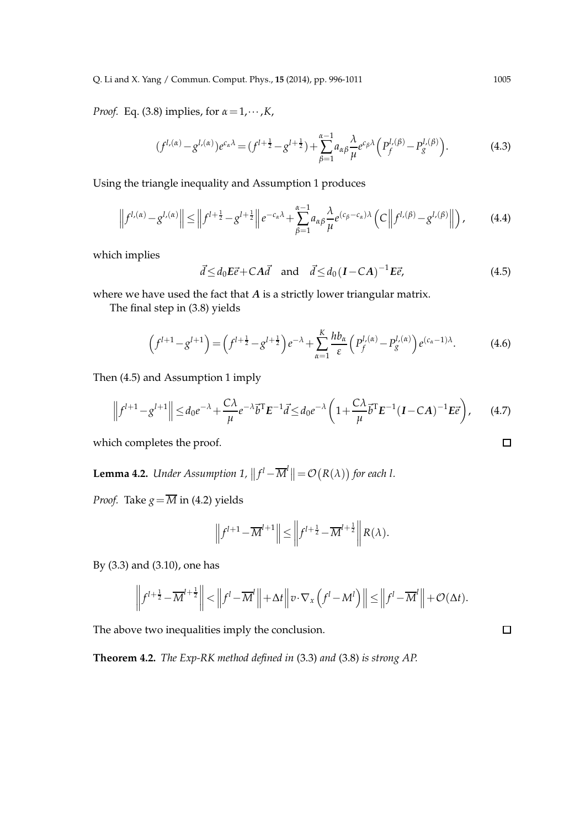*Proof.* Eq. (3.8) implies, for *α*=1,···,*K*,

$$
(f^{l,(\alpha)} - g^{l,(\alpha)})e^{c_{\alpha}\lambda} = (f^{l + \frac{1}{2}} - g^{l + \frac{1}{2}}) + \sum_{\beta=1}^{\alpha-1} a_{\alpha\beta} \frac{\lambda}{\mu} e^{c_{\beta}\lambda} \left( P_f^{l,(\beta)} - P_g^{l,(\beta)} \right).
$$
 (4.3)

Using the triangle inequality and Assumption 1 produces

$$
\left\|f^{l,(\alpha)}-g^{l,(\alpha)}\right\| \le \left\|f^{l+\frac{1}{2}}-g^{l+\frac{1}{2}}\right\|e^{-c_{\alpha}\lambda}+\sum_{\beta=1}^{\alpha-1}a_{\alpha\beta}\frac{\lambda}{\mu}e^{(c_{\beta}-c_{\alpha})\lambda}\left(C\left\|f^{l,(\beta)}-g^{l,(\beta)}\right\|\right),\tag{4.4}
$$

which implies

$$
\vec{d} \le d_0 E \vec{e} + CA \vec{d} \quad \text{and} \quad \vec{d} \le d_0 (I - CA)^{-1} E \vec{e}, \tag{4.5}
$$

where we have used the fact that *A* is a strictly lower triangular matrix.

The final step in (3.8) yields

$$
\left(f^{l+1}-g^{l+1}\right) = \left(f^{l+\frac{1}{2}}-g^{l+\frac{1}{2}}\right)e^{-\lambda} + \sum_{\alpha=1}^{K} \frac{hb_{\alpha}}{\varepsilon} \left(P_f^{l,(\alpha)} - P_g^{l,(\alpha)}\right) e^{(c_{\alpha}-1)\lambda}.\tag{4.6}
$$

Then (4.5) and Assumption 1 imply

$$
\left\|f^{l+1}-g^{l+1}\right\| \leq d_0 e^{-\lambda} + \frac{C\lambda}{\mu} e^{-\lambda} \vec{b}^{\mathrm{T}} E^{-1} \vec{d} \leq d_0 e^{-\lambda} \left(1 + \frac{C\lambda}{\mu} \vec{b}^{\mathrm{T}} E^{-1} (I - CA)^{-1} E \vec{e}\right),\tag{4.7}
$$

which completes the proof.

**Lemma 4.2.** *Under Assumption 1,*  $||f^{l} - \overline{M}^{l}|| = \mathcal{O}(R(\lambda))$  for each l.

*Proof.* Take  $g = \overline{M}$  in (4.2) yields

$$
\left\|f^{l+1}-\overline{M}^{l+1}\right\| \leq \left\|f^{l+\frac{1}{2}}-\overline{M}^{l+\frac{1}{2}}\right\| R(\lambda).
$$

By (3.3) and (3.10), one has

$$
\left\|f^{l+\frac{1}{2}} - \overline{M}^{l+\frac{1}{2}}\right\| < \left\|f^{l} - \overline{M}^{l}\right\| + \Delta t \left\|v \cdot \nabla_{x}\left(f^{l} - M^{l}\right)\right\| \leq \left\|f^{l} - \overline{M}^{l}\right\| + \mathcal{O}(\Delta t).
$$

The above two inequalities imply the conclusion.

**Theorem 4.2.** *The Exp-RK method defined in* (3.3) *and* (3.8) *is strong AP.*

$$
\Box
$$

 $\Box$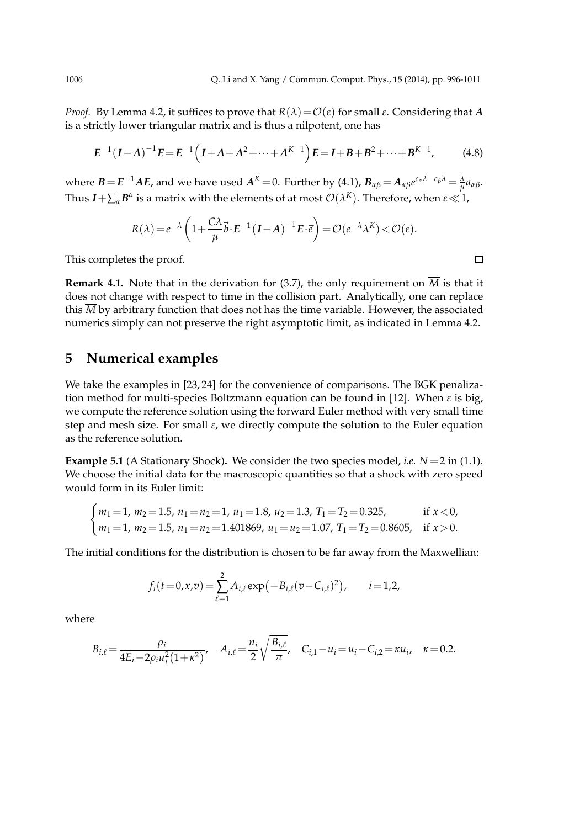$\Box$ 

*Proof.* By Lemma 4.2, it suffices to prove that  $R(λ) = O(ε)$  for small  $ε$ . Considering that *A* is a strictly lower triangular matrix and is thus a nilpotent, one has

$$
E^{-1}(I-A)^{-1}E = E^{-1}(I+A+A^{2}+\cdots+A^{K-1})E = I+B+B^{2}+\cdots+B^{K-1},
$$
 (4.8)

where  $B\!=\!E^{-1}AE$ , and we have used  $A^K\!=\!0$ . Further by (4.1),  $B_{\alpha\beta}\!=\!A_{\alpha\beta}e^{c_\alpha\lambda-c_\beta\lambda} \!=\! \frac{\lambda}{\mu}a_{\alpha\beta}.$ Thus  $I + \sum_{\alpha} B^{\alpha}$  is a matrix with the elements of at most  $\mathcal{O}(\lambda^{K})$ . Therefore, when  $\varepsilon \ll 1$ ,

$$
R(\lambda) = e^{-\lambda} \left( 1 + \frac{C\lambda}{\mu} \vec{b} \cdot E^{-1} (I - A)^{-1} E \cdot \vec{e} \right) = \mathcal{O}(e^{-\lambda} \lambda^{K}) < \mathcal{O}(\varepsilon).
$$

This completes the proof.

**Remark 4.1.** Note that in the derivation for (3.7), the only requirement on  $\overline{M}$  is that it does not change with respect to time in the collision part. Analytically, one can replace this  $\overline{M}$  by arbitrary function that does not has the time variable. However, the associated numerics simply can not preserve the right asymptotic limit, as indicated in Lemma 4.2.

### **5 Numerical examples**

We take the examples in [23, 24] for the convenience of comparisons. The BGK penalization method for multi-species Boltzmann equation can be found in [12]. When *ε* is big, we compute the reference solution using the forward Euler method with very small time step and mesh size. For small *ε*, we directly compute the solution to the Euler equation as the reference solution.

**Example 5.1** (A Stationary Shock). We consider the two species model, *i.e.*  $N = 2$  in (1.1). We choose the initial data for the macroscopic quantities so that a shock with zero speed would form in its Euler limit:

$$
\begin{cases}\nm_1 = 1, \, m_2 = 1.5, \, n_1 = n_2 = 1, \, u_1 = 1.8, \, u_2 = 1.3, \, T_1 = T_2 = 0.325, & \text{if } x < 0, \\
m_1 = 1, \, m_2 = 1.5, \, n_1 = n_2 = 1.401869, \, u_1 = u_2 = 1.07, \, T_1 = T_2 = 0.8605, & \text{if } x > 0.\n\end{cases}
$$

The initial conditions for the distribution is chosen to be far away from the Maxwellian:

$$
f_i(t=0,x,v) = \sum_{\ell=1}^2 A_{i,\ell} \exp(-B_{i,\ell}(v - C_{i,\ell})^2), \qquad i = 1,2,
$$

where

$$
B_{i,\ell} = \frac{\rho_i}{4E_i - 2\rho_i u_i^2 (1 + \kappa^2)}, \quad A_{i,\ell} = \frac{n_i}{2} \sqrt{\frac{B_{i,\ell}}{\pi}}, \quad C_{i,1} - u_i = u_i - C_{i,2} = \kappa u_i, \quad \kappa = 0.2.
$$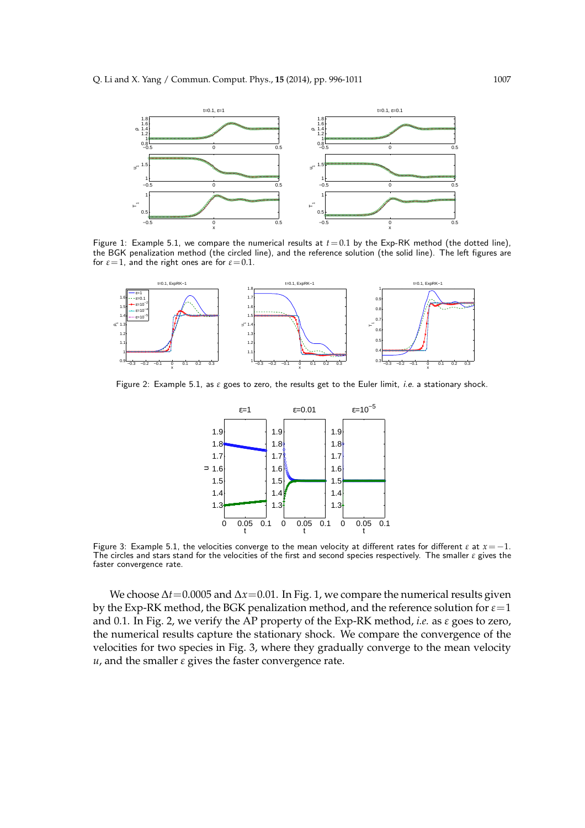

Figure 1: Example 5.1, we compare the numerical results at  $t = 0.1$  by the Exp-RK method (the dotted line), the BGK penalization method (the circled line), and the reference solution (the solid line). The left figures are for  $\varepsilon$ =1, and the right ones are for  $\varepsilon$ =0.1.



Figure 2: Example 5.1, as *ε* goes to zero, the results get to the Euler limit, i.e. a stationary shock.



Figure 3: Example 5.1, the velocities converge to the mean velocity at different rates for different  $\varepsilon$  at  $x=-1$ . The circles and stars stand for the velocities of the first and second species respectively. The smaller *ε* gives the faster convergence rate.

We choose  $\Delta t$  = 0.0005 and  $\Delta x$  = 0.01. In Fig. 1, we compare the numerical results given by the Exp-RK method, the BGK penalization method, and the reference solution for  $\varepsilon$ =1 and 0.1. In Fig. 2, we verify the AP property of the Exp-RK method, *i.e.* as *ε* goes to zero, the numerical results capture the stationary shock. We compare the convergence of the velocities for two species in Fig. 3, where they gradually converge to the mean velocity  $u$ , and the smaller  $\varepsilon$  gives the faster convergence rate.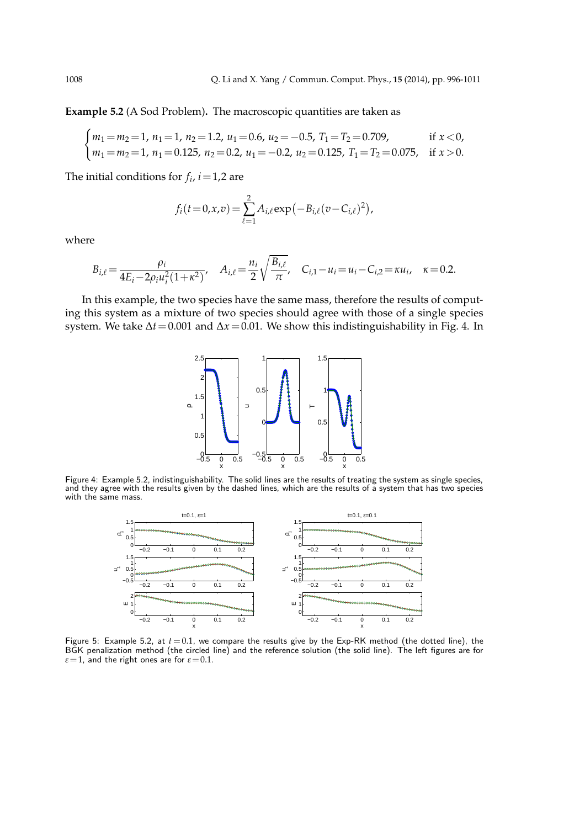**Example 5.2** (A Sod Problem)**.** The macroscopic quantities are taken as

$$
\begin{cases}\nm_1 = m_2 = 1, \ n_1 = 1, \ n_2 = 1.2, \ u_1 = 0.6, \ u_2 = -0.5, \ T_1 = T_2 = 0.709, & \text{if } x < 0, \\
m_1 = m_2 = 1, \ n_1 = 0.125, \ n_2 = 0.2, \ u_1 = -0.2, \ u_2 = 0.125, \ T_1 = T_2 = 0.075, & \text{if } x > 0.\n\end{cases}
$$

The initial conditions for  $f_i$ ,  $i = 1,2$  are

$$
f_i(t=0,x,v) = \sum_{\ell=1}^2 A_{i,\ell} \exp(-B_{i,\ell}(v - C_{i,\ell})^2),
$$

where

$$
B_{i,\ell} = \frac{\rho_i}{4E_i - 2\rho_i u_i^2 (1 + \kappa^2)}, \quad A_{i,\ell} = \frac{n_i}{2} \sqrt{\frac{B_{i,\ell}}{\pi}}, \quad C_{i,1} - u_i = u_i - C_{i,2} = \kappa u_i, \quad \kappa = 0.2.
$$

In this example, the two species have the same mass, therefore the results of computing this system as a mixture of two species should agree with those of a single species system. We take ∆*t*=0.001 and ∆*x*=0.01. We show this indistinguishability in Fig. 4. In



Figure 4: Example 5.2, indistinguishability. The solid lines are the results of treating the system as single species, and they agree with the results given by the dashed lines, which are the results of a system that has two species with the same mass.



Figure 5: Example 5.2, at  $t = 0.1$ , we compare the results give by the Exp-RK method (the dotted line), the BGK penalization method (the circled line) and the reference solution (the solid line). The left figures are for  $\varepsilon$ =1, and the right ones are for  $\varepsilon$ =0.1.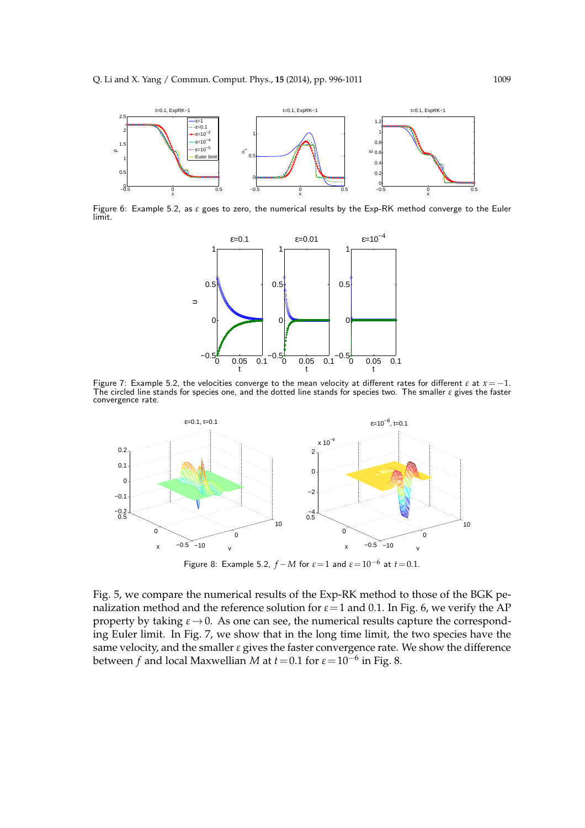

Figure 6: Example 5.2, as *ε* goes to zero, the numerical results by the Exp-RK method converge to the Euler limit.



Figure 7: Example 5.2, the velocities converge to the mean velocity at different rates for different  $\varepsilon$  at  $x=-1$ . The circled line stands for species one, and the dotted line stands for species two. The smaller *ε* gives the faster convergence rate.



Figure 8: Example 5.2,  $f-M$  for  $\varepsilon=1$  and  $\varepsilon=10^{-6}$  at  $t=0.1$ .

Fig. 5, we compare the numerical results of the Exp-RK method to those of the BGK penalization method and the reference solution for  $\varepsilon$  = 1 and 0.1. In Fig. 6, we verify the AP property by taking  $\varepsilon \rightarrow 0$ . As one can see, the numerical results capture the corresponding Euler limit. In Fig. 7, we show that in the long time limit, the two species have the same velocity, and the smaller *ε* gives the faster convergence rate. We show the difference between *f* and local Maxwellian *M* at *t*=0.1 for *ε*=10−<sup>6</sup> in Fig. 8.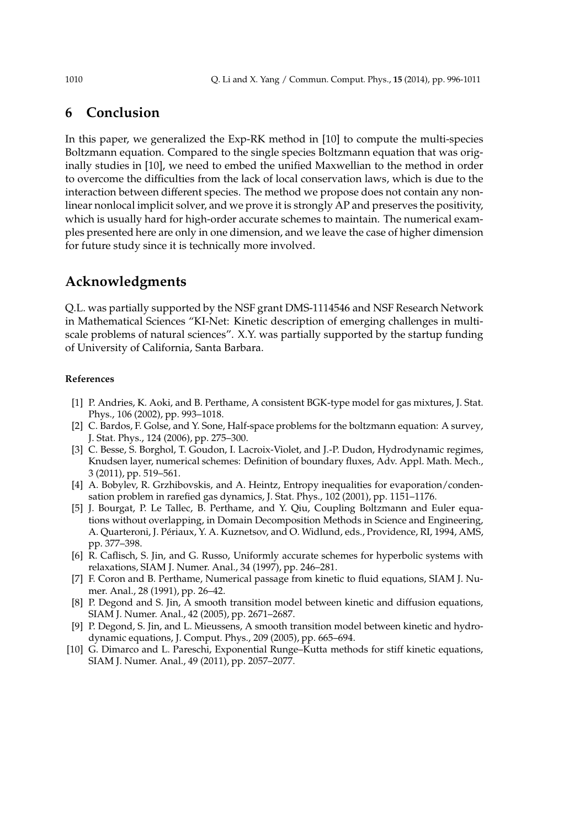## **6 Conclusion**

In this paper, we generalized the Exp-RK method in [10] to compute the multi-species Boltzmann equation. Compared to the single species Boltzmann equation that was originally studies in [10], we need to embed the unified Maxwellian to the method in order to overcome the difficulties from the lack of local conservation laws, which is due to the interaction between different species. The method we propose does not contain any nonlinear nonlocal implicit solver, and we prove it is strongly AP and preserves the positivity, which is usually hard for high-order accurate schemes to maintain. The numerical examples presented here are only in one dimension, and we leave the case of higher dimension for future study since it is technically more involved.

## **Acknowledgments**

Q.L. was partially supported by the NSF grant DMS-1114546 and NSF Research Network in Mathematical Sciences "KI-Net: Kinetic description of emerging challenges in multiscale problems of natural sciences". X.Y. was partially supported by the startup funding of University of California, Santa Barbara.

#### **References**

- [1] P. Andries, K. Aoki, and B. Perthame, A consistent BGK-type model for gas mixtures, J. Stat. Phys., 106 (2002), pp. 993–1018.
- [2] C. Bardos, F. Golse, and Y. Sone, Half-space problems for the boltzmann equation: A survey, J. Stat. Phys., 124 (2006), pp. 275–300.
- [3] C. Besse, S. Borghol, T. Goudon, I. Lacroix-Violet, and J.-P. Dudon, Hydrodynamic regimes, Knudsen layer, numerical schemes: Definition of boundary fluxes, Adv. Appl. Math. Mech., 3 (2011), pp. 519–561.
- [4] A. Bobylev, R. Grzhibovskis, and A. Heintz, Entropy inequalities for evaporation/condensation problem in rarefied gas dynamics, J. Stat. Phys., 102 (2001), pp. 1151–1176.
- [5] J. Bourgat, P. Le Tallec, B. Perthame, and Y. Qiu, Coupling Boltzmann and Euler equations without overlapping, in Domain Decomposition Methods in Science and Engineering, A. Quarteroni, J. Périaux, Y. A. Kuznetsov, and O. Widlund, eds., Providence, RI, 1994, AMS, pp. 377–398.
- [6] R. Caflisch, S. Jin, and G. Russo, Uniformly accurate schemes for hyperbolic systems with relaxations, SIAM J. Numer. Anal., 34 (1997), pp. 246–281.
- [7] F. Coron and B. Perthame, Numerical passage from kinetic to fluid equations, SIAM J. Numer. Anal., 28 (1991), pp. 26–42.
- [8] P. Degond and S. Jin, A smooth transition model between kinetic and diffusion equations, SIAM J. Numer. Anal., 42 (2005), pp. 2671–2687.
- [9] P. Degond, S. Jin, and L. Mieussens, A smooth transition model between kinetic and hydrodynamic equations, J. Comput. Phys., 209 (2005), pp. 665–694.
- [10] G. Dimarco and L. Pareschi, Exponential Runge–Kutta methods for stiff kinetic equations, SIAM J. Numer. Anal., 49 (2011), pp. 2057–2077.